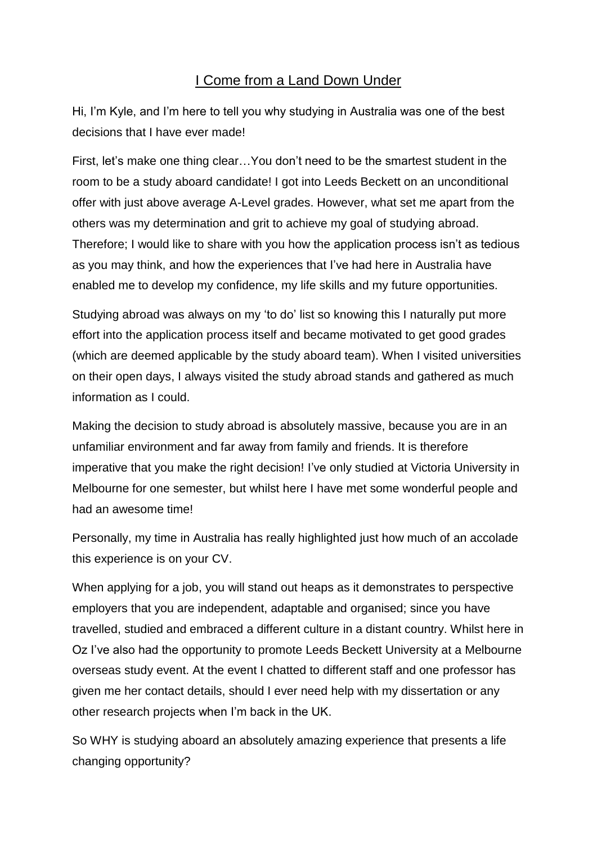## I Come from a Land Down Under

Hi, I'm Kyle, and I'm here to tell you why studying in Australia was one of the best decisions that I have ever made!

First, let's make one thing clear…You don't need to be the smartest student in the room to be a study aboard candidate! I got into Leeds Beckett on an unconditional offer with just above average A-Level grades. However, what set me apart from the others was my determination and grit to achieve my goal of studying abroad. Therefore; I would like to share with you how the application process isn't as tedious as you may think, and how the experiences that I've had here in Australia have enabled me to develop my confidence, my life skills and my future opportunities.

Studying abroad was always on my 'to do' list so knowing this I naturally put more effort into the application process itself and became motivated to get good grades (which are deemed applicable by the study aboard team). When I visited universities on their open days, I always visited the study abroad stands and gathered as much information as I could.

Making the decision to study abroad is absolutely massive, because you are in an unfamiliar environment and far away from family and friends. It is therefore imperative that you make the right decision! I've only studied at Victoria University in Melbourne for one semester, but whilst here I have met some wonderful people and had an awesome time!

Personally, my time in Australia has really highlighted just how much of an accolade this experience is on your CV.

When applying for a job, you will stand out heaps as it demonstrates to perspective employers that you are independent, adaptable and organised; since you have travelled, studied and embraced a different culture in a distant country. Whilst here in Oz I've also had the opportunity to promote Leeds Beckett University at a Melbourne overseas study event. At the event I chatted to different staff and one professor has given me her contact details, should I ever need help with my dissertation or any other research projects when I'm back in the UK.

So WHY is studying aboard an absolutely amazing experience that presents a life changing opportunity?